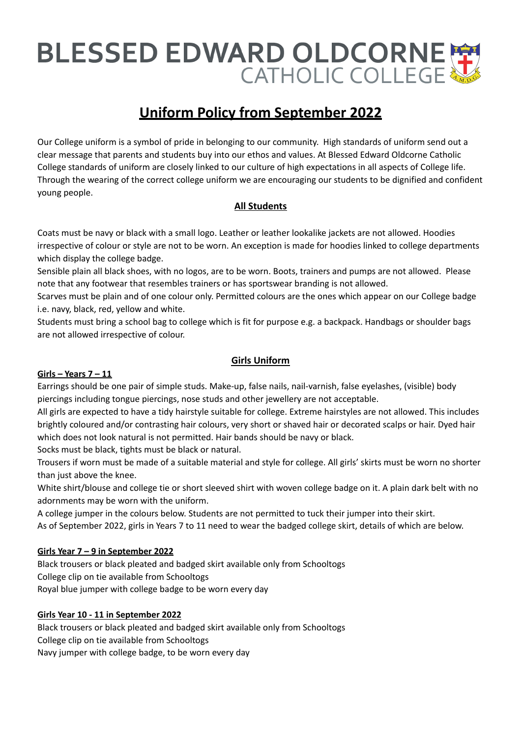# BLESSED EDWARD OLDCORNE

# **Uniform Policy from September 2022**

Our College uniform is a symbol of pride in belonging to our community. High standards of uniform send out a clear message that parents and students buy into our ethos and values. At Blessed Edward Oldcorne Catholic College standards of uniform are closely linked to our culture of high expectations in all aspects of College life. Through the wearing of the correct college uniform we are encouraging our students to be dignified and confident young people.

# **All Students**

Coats must be navy or black with a small logo. Leather or leather lookalike jackets are not allowed. Hoodies irrespective of colour or style are not to be worn. An exception is made for hoodies linked to college departments which display the college badge.

Sensible plain all black shoes, with no logos, are to be worn. Boots, trainers and pumps are not allowed. Please note that any footwear that resembles trainers or has sportswear branding is not allowed.

Scarves must be plain and of one colour only. Permitted colours are the ones which appear on our College badge i.e. navy, black, red, yellow and white.

Students must bring a school bag to college which is fit for purpose e.g. a backpack. Handbags or shoulder bags are not allowed irrespective of colour.

# **Girls Uniform**

# **Girls – Years 7 – 11**

Earrings should be one pair of simple studs. Make-up, false nails, nail-varnish, false eyelashes, (visible) body piercings including tongue piercings, nose studs and other jewellery are not acceptable.

All girls are expected to have a tidy hairstyle suitable for college. Extreme hairstyles are not allowed. This includes brightly coloured and/or contrasting hair colours, very short or shaved hair or decorated scalps or hair. Dyed hair which does not look natural is not permitted. Hair bands should be navy or black.

Socks must be black, tights must be black or natural.

Trousers if worn must be made of a suitable material and style for college. All girls' skirts must be worn no shorter than just above the knee.

White shirt/blouse and college tie or short sleeved shirt with woven college badge on it. A plain dark belt with no adornments may be worn with the uniform.

A college jumper in the colours below. Students are not permitted to tuck their jumper into their skirt. As of September 2022, girls in Years 7 to 11 need to wear the badged college skirt, details of which are below.

# **Girls Year 7 – 9 in September 2022**

Black trousers or black pleated and badged skirt available only from Schooltogs College clip on tie available from Schooltogs Royal blue jumper with college badge to be worn every day

# **Girls Year 10 - 11 in September 2022**

Black trousers or black pleated and badged skirt available only from Schooltogs College clip on tie available from Schooltogs Navy jumper with college badge, to be worn every day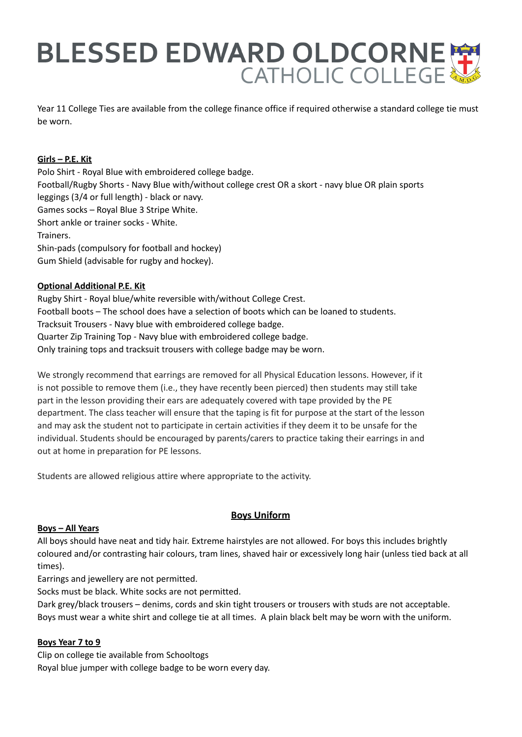# BLESSED EDWARD OLDCORNE

Year 11 College Ties are available from the college finance office if required otherwise a standard college tie must be worn.

### **Girls – P.E. Kit**

Polo Shirt - Royal Blue with embroidered college badge. Football/Rugby Shorts - Navy Blue with/without college crest OR a skort - navy blue OR plain sports leggings (3/4 or full length) - black or navy. Games socks – Royal Blue 3 Stripe White. Short ankle or trainer socks - White. Trainers. Shin-pads (compulsory for football and hockey) Gum Shield (advisable for rugby and hockey).

#### **Optional Additional P.E. Kit**

Rugby Shirt - Royal blue/white reversible with/without College Crest. Football boots – The school does have a selection of boots which can be loaned to students. Tracksuit Trousers - Navy blue with embroidered college badge. Quarter Zip Training Top - Navy blue with embroidered college badge. Only training tops and tracksuit trousers with college badge may be worn.

We strongly recommend that earrings are removed for all Physical Education lessons. However, if it is not possible to remove them (i.e., they have recently been pierced) then students may still take part in the lesson providing their ears are adequately covered with tape provided by the PE department. The class teacher will ensure that the taping is fit for purpose at the start of the lesson and may ask the student not to participate in certain activities if they deem it to be unsafe for the individual. Students should be encouraged by parents/carers to practice taking their earrings in and out at home in preparation for PE lessons.

Students are allowed religious attire where appropriate to the activity.

# **Boys Uniform**

#### **Boys – All Years**

All boys should have neat and tidy hair. Extreme hairstyles are not allowed. For boys this includes brightly coloured and/or contrasting hair colours, tram lines, shaved hair or excessively long hair (unless tied back at all times).

Earrings and jewellery are not permitted.

Socks must be black. White socks are not permitted.

Dark grey/black trousers – denims, cords and skin tight trousers or trousers with studs are not acceptable. Boys must wear a white shirt and college tie at all times. A plain black belt may be worn with the uniform.

#### **Boys Year 7 to 9**

Clip on college tie available from Schooltogs Royal blue jumper with college badge to be worn every day.